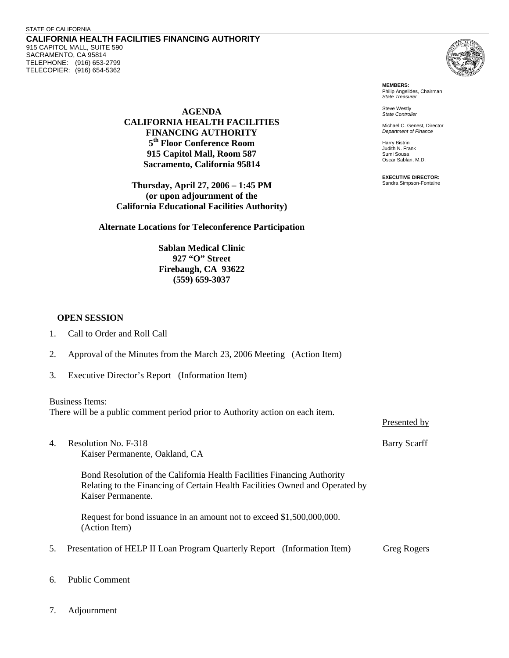**CALIFORNIA HEALTH FACILITIES FINANCING AUTHORITY**  915 CAPITOL MALL, SUITE 590 SACRAMENTO, CA 95814 TELEPHONE: (916) 653-2799 TELECOPIER: (916) 654-5362



**MEMBERS:** Philip Angelides, Chairman *State Treasurer*

Steve Westly *State Controller* 

Michael C. Genest, Director *Department of Finance*

Harry Bistrin Judith N. Frank Sumi Sousa Oscar Sablan, M.D.

**EXECUTIVE DIRECTOR:** Sandra Simpson-Fontaine

Presented by

**AGENDA CALIFORNIA HEALTH FACILITIES FINANCING AUTHORITY 5th Floor Conference Room 915 Capitol Mall, Room 587 Sacramento, California 95814** 

**Thursday, April 27, 2006 – 1:45 PM (or upon adjournment of the California Educational Facilities Authority)** 

**Alternate Locations for Teleconference Participation** 

**Sablan Medical Clinic 927 "O" Street Firebaugh, CA 93622 (559) 659-3037** 

## **OPEN SESSION**

- 2. Approval of the Minutes from the March 23, 2006 Meeting (Action Item)
- 3. Executive Director's Report (Information Item)

## Business Items:

There will be a public comment period prior to Authority action on each item.

4. Resolution No. F-318 Barry Scarff Kaiser Permanente, Oakland, CA

Bond Resolution of the California Health Facilities Financing Authority Relating to the Financing of Certain Health Facilities Owned and Operated by Kaiser Permanente.

Request for bond issuance in an amount not to exceed \$1,500,000,000. (Action Item)

- 5. Presentation of HELP II Loan Program Quarterly Report (Information Item) Greg Rogers
- 6. Public Comment
- 7. Adjournment